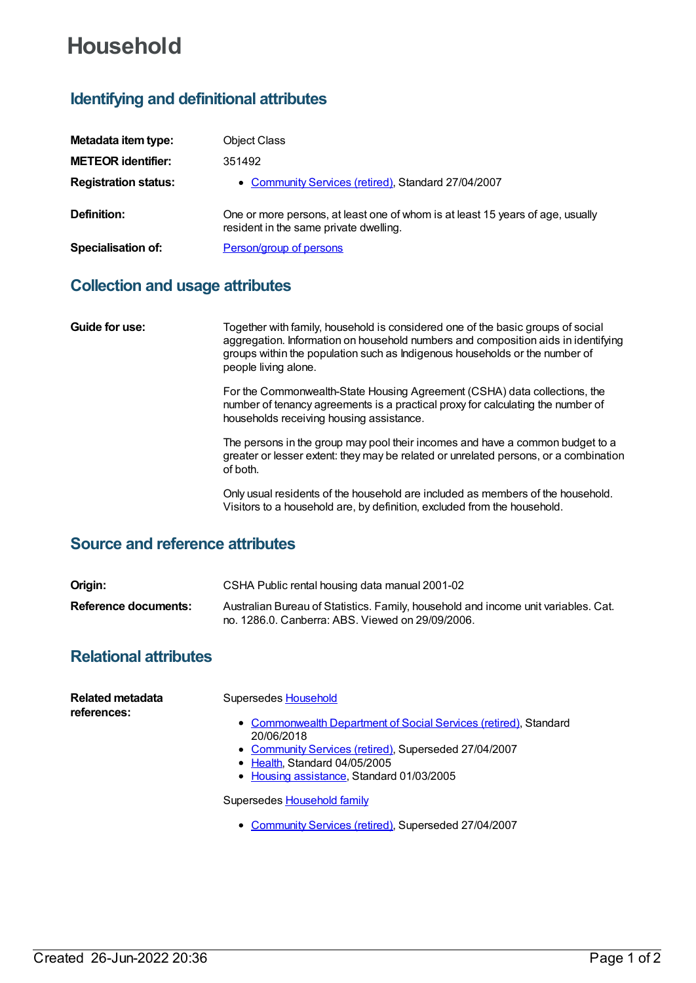# **Household**

## **Identifying and definitional attributes**

| Metadata item type:         | <b>Object Class</b>                                                                                                      |
|-----------------------------|--------------------------------------------------------------------------------------------------------------------------|
| <b>METEOR identifier:</b>   | 351492                                                                                                                   |
| <b>Registration status:</b> | • Community Services (retired), Standard 27/04/2007                                                                      |
| Definition:                 | One or more persons, at least one of whom is at least 15 years of age, usually<br>resident in the same private dwelling. |
| <b>Specialisation of:</b>   | Person/group of persons                                                                                                  |

#### **Collection and usage attributes**

**Guide for use:** Together with family, household is considered one of the basic groups of social aggregation. Information on household numbers and composition aids in identifying groups within the population such as Indigenous households or the number of people living alone.

> For the Commonwealth-State Housing Agreement (CSHA) data collections, the number of tenancy agreements is a practical proxy for calculating the number of households receiving housing assistance.

The persons in the group may pool their incomes and have a common budget to a greater or lesser extent: they may be related or unrelated persons, or a combination of both.

Only usual residents of the household are included as members of the household. Visitors to a household are, by definition, excluded from the household.

#### **Source and reference attributes**

| Origin:              | CSHA Public rental housing data manual 2001-02                                                                                         |
|----------------------|----------------------------------------------------------------------------------------------------------------------------------------|
| Reference documents: | Australian Bureau of Statistics. Family, household and income unit variables. Cat.<br>no. 1286.0. Canberra: ABS. Viewed on 29/09/2006. |

### **Relational attributes**

| Related metadata<br>references: | Supersedes Household                                                                                                                                                                                                 |
|---------------------------------|----------------------------------------------------------------------------------------------------------------------------------------------------------------------------------------------------------------------|
|                                 | • Commonwealth Department of Social Services (retired), Standard<br>20/06/2018<br>• Community Services (retired), Superseded 27/04/2007<br>• Health Standard 04/05/2005<br>• Housing assistance, Standard 01/03/2005 |
|                                 | Supersedes Household family                                                                                                                                                                                          |

[Community](https://meteor.aihw.gov.au/RegistrationAuthority/1) Services (retired), Superseded 27/04/2007